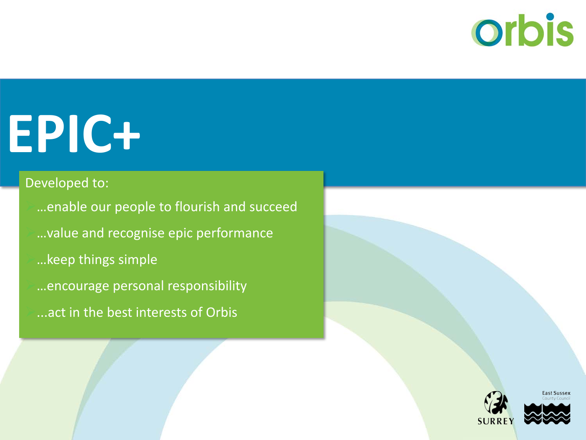## **orbis**

# **EPIC+**

### Developed to:

…enable our people to flourish and succeed …value and recognise epic performance …keep things simple …encourage personal responsibility ...act in the best interests of Orbis



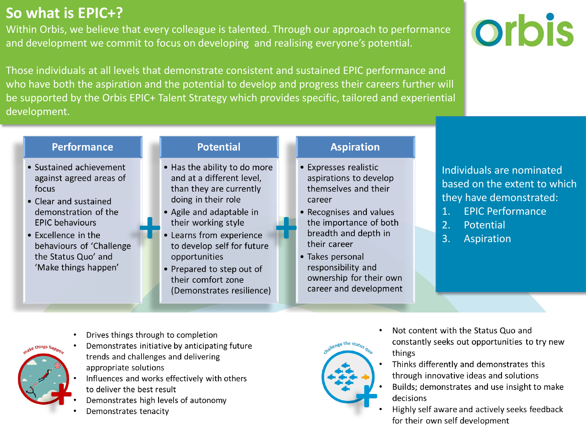### **So what is EPIC+?**

Within Orbis, we believe that every colleague is talented. Through our approach to performance and development we commit to focus on developing and realising everyone's potential.



Those individuals at all levels that demonstrate consistent and sustained EPIC performance and who have both the aspiration and the potential to develop and progress their careers further will be supported by the Orbis EPIC+ Talent Strategy which provides specific, tailored and experiential development.

#### **Performance**

- Sustained achievement against agreed areas of focus
- Clear and sustained demonstration of the **EPIC** behaviours
- Excellence in the behaviours of 'Challenge the Status Quo' and 'Make things happen'

#### **Potential**

- . Has the ability to do more and at a different level, than they are currently doing in their role
- Agile and adaptable in their working style
- Learns from experience to develop self for future opportunities
- Prepared to step out of their comfort zone (Demonstrates resilience)

#### **Aspiration**

- Expresses realistic aspirations to develop themselves and their career
- Recognises and values the importance of both breadth and depth in their career
- Takes personal responsibility and ownership for their own career and development

Individuals are nominated based on the extent to which they have demonstrated:

- 1. EPIC Performance
- 2. Potential
- 3. Aspiration



- Demonstrates initiative by anticipating future trends and challenges and delivering appropriate solutions
- Influences and works effectively with others to deliver the best result
- Demonstrates high levels of autonomy
- Demonstrates tenacity



- Not content with the Status Quo and constantly seeks out opportunities to try new things
- Thinks differently and demonstrates this through innovative ideas and solutions
- Builds; demonstrates and use insight to make decisions
- Highly self aware and actively seeks feedback for their own self development